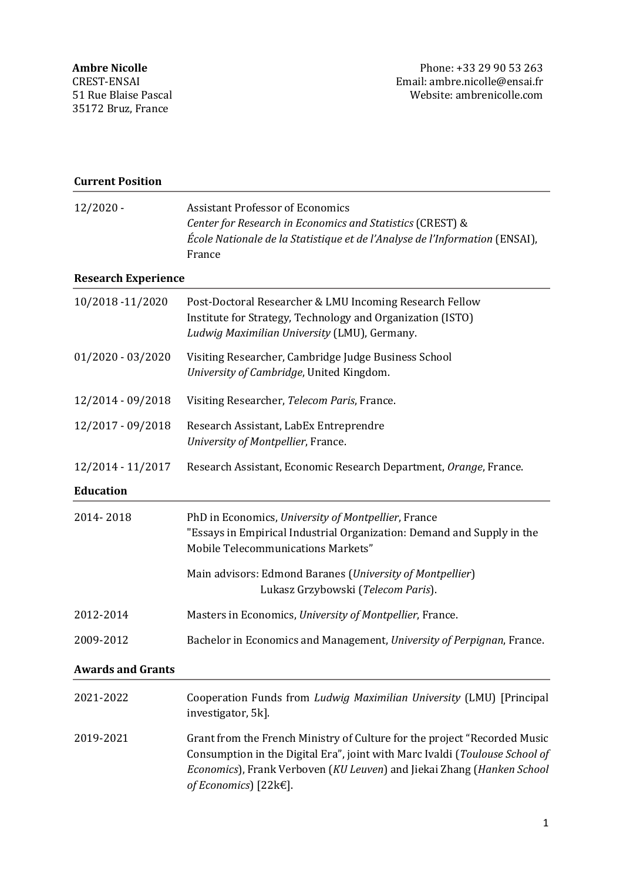| <b>Current Position</b>    |                                                                                                                                                                                                                                                                    |
|----------------------------|--------------------------------------------------------------------------------------------------------------------------------------------------------------------------------------------------------------------------------------------------------------------|
| $12/2020 -$                | <b>Assistant Professor of Economics</b><br>Center for Research in Economics and Statistics (CREST) &<br>École Nationale de la Statistique et de l'Analyse de l'Information (ENSAI),<br>France                                                                      |
| <b>Research Experience</b> |                                                                                                                                                                                                                                                                    |
| 10/2018 -11/2020           | Post-Doctoral Researcher & LMU Incoming Research Fellow<br>Institute for Strategy, Technology and Organization (ISTO)<br>Ludwig Maximilian University (LMU), Germany.                                                                                              |
| $01/2020 - 03/2020$        | Visiting Researcher, Cambridge Judge Business School<br>University of Cambridge, United Kingdom.                                                                                                                                                                   |
| 12/2014 - 09/2018          | Visiting Researcher, Telecom Paris, France.                                                                                                                                                                                                                        |
| 12/2017 - 09/2018          | Research Assistant, LabEx Entreprendre<br>University of Montpellier, France.                                                                                                                                                                                       |
| 12/2014 - 11/2017          | Research Assistant, Economic Research Department, Orange, France.                                                                                                                                                                                                  |
| <b>Education</b>           |                                                                                                                                                                                                                                                                    |
| 2014-2018                  | PhD in Economics, University of Montpellier, France<br>"Essays in Empirical Industrial Organization: Demand and Supply in the<br>Mobile Telecommunications Markets"                                                                                                |
|                            | Main advisors: Edmond Baranes (University of Montpellier)<br>Lukasz Grzybowski (Telecom Paris).                                                                                                                                                                    |
| 2012-2014                  | Masters in Economics, University of Montpellier, France.                                                                                                                                                                                                           |
| 2009-2012                  | Bachelor in Economics and Management, University of Perpignan, France.                                                                                                                                                                                             |
| <b>Awards and Grants</b>   |                                                                                                                                                                                                                                                                    |
| 2021-2022                  | Cooperation Funds from Ludwig Maximilian University (LMU) [Principal<br>investigator, 5k].                                                                                                                                                                         |
| 2019-2021                  | Grant from the French Ministry of Culture for the project "Recorded Music<br>Consumption in the Digital Era", joint with Marc Ivaldi (Toulouse School of<br>Economics), Frank Verboven (KU Leuven) and Jiekai Zhang (Hanken School<br>of Economics) [22 $k \in$ ]. |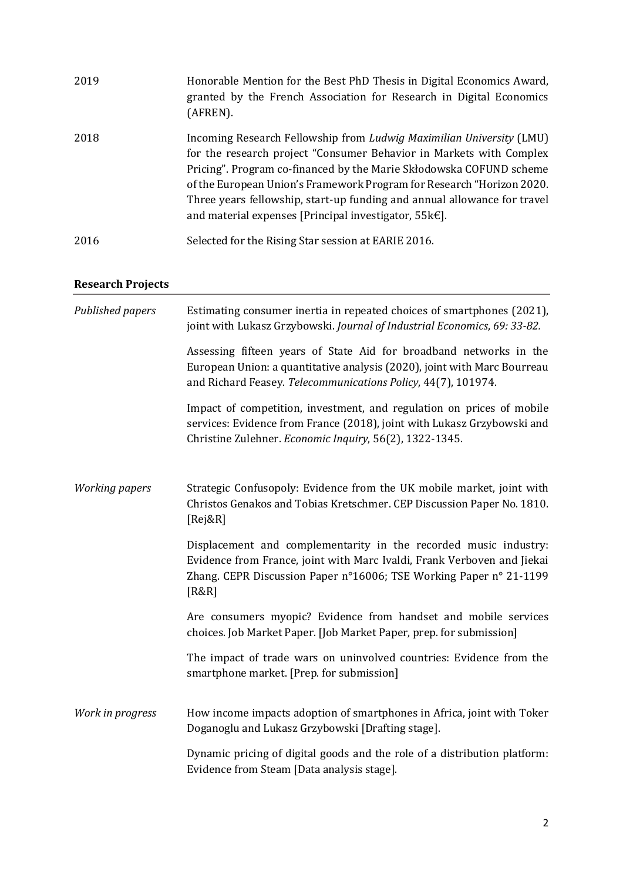| 2019 | Honorable Mention for the Best PhD Thesis in Digital Economics Award,<br>granted by the French Association for Research in Digital Economics<br>(AFREN).                                                                                                                                                                                                                                                                               |
|------|----------------------------------------------------------------------------------------------------------------------------------------------------------------------------------------------------------------------------------------------------------------------------------------------------------------------------------------------------------------------------------------------------------------------------------------|
| 2018 | Incoming Research Fellowship from Ludwig Maximilian University (LMU)<br>for the research project "Consumer Behavior in Markets with Complex<br>Pricing". Program co-financed by the Marie Skłodowska COFUND scheme<br>of the European Union's Framework Program for Research "Horizon 2020.<br>Three years fellowship, start-up funding and annual allowance for travel<br>and material expenses [Principal investigator, $55k \in$ ]. |
| 2016 | Selected for the Rising Star session at EARIE 2016.                                                                                                                                                                                                                                                                                                                                                                                    |

# **Research Projects**

| Published papers      | Estimating consumer inertia in repeated choices of smartphones (2021),<br>joint with Lukasz Grzybowski. Journal of Industrial Economics, 69: 33-82.                                                                        |
|-----------------------|----------------------------------------------------------------------------------------------------------------------------------------------------------------------------------------------------------------------------|
|                       | Assessing fifteen years of State Aid for broadband networks in the<br>European Union: a quantitative analysis (2020), joint with Marc Bourreau<br>and Richard Feasey. Telecommunications Policy, 44(7), 101974.            |
|                       | Impact of competition, investment, and regulation on prices of mobile<br>services: Evidence from France (2018), joint with Lukasz Grzybowski and<br>Christine Zulehner. Economic Inquiry, 56(2), 1322-1345.                |
| <b>Working papers</b> | Strategic Confusopoly: Evidence from the UK mobile market, joint with<br>Christos Genakos and Tobias Kretschmer. CEP Discussion Paper No. 1810.<br>[Rej&R]                                                                 |
|                       | Displacement and complementarity in the recorded music industry:<br>Evidence from France, joint with Marc Ivaldi, Frank Verboven and Jiekai<br>Zhang. CEPR Discussion Paper n°16006; TSE Working Paper n° 21-1199<br>[R&R] |
|                       | Are consumers myopic? Evidence from handset and mobile services<br>choices. Job Market Paper. [Job Market Paper, prep. for submission]                                                                                     |
|                       | The impact of trade wars on uninvolved countries: Evidence from the<br>smartphone market. [Prep. for submission]                                                                                                           |
| Work in progress      | How income impacts adoption of smartphones in Africa, joint with Toker<br>Doganoglu and Lukasz Grzybowski [Drafting stage].                                                                                                |
|                       | Dynamic pricing of digital goods and the role of a distribution platform:<br>Evidence from Steam [Data analysis stage].                                                                                                    |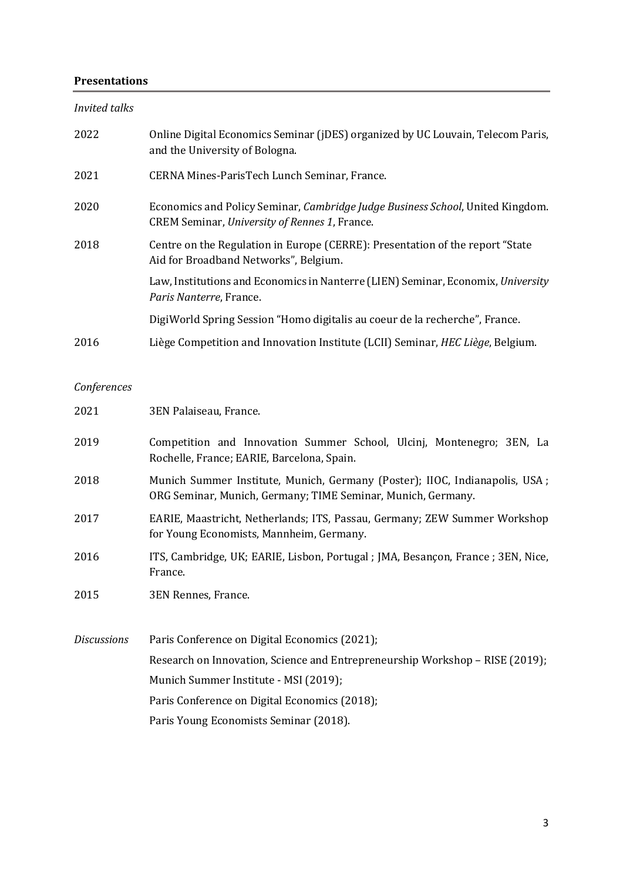# **Presentations**

*Invited talks*

| 2022 | Online Digital Economics Seminar (jDES) organized by UC Louvain, Telecom Paris,<br>and the University of Bologna.               |
|------|---------------------------------------------------------------------------------------------------------------------------------|
| 2021 | CERNA Mines-ParisTech Lunch Seminar, France.                                                                                    |
| 2020 | Economics and Policy Seminar, Cambridge Judge Business School, United Kingdom.<br>CREM Seminar, University of Rennes 1, France. |
| 2018 | Centre on the Regulation in Europe (CERRE): Presentation of the report "State<br>Aid for Broadband Networks", Belgium.          |
|      | Law, Institutions and Economics in Nanterre (LIEN) Seminar, Economix, University<br>Paris Nanterre, France.                     |
|      | DigiWorld Spring Session "Homo digitalis au coeur de la recherche", France.                                                     |
| 2016 | Liège Competition and Innovation Institute (LCII) Seminar, HEC Liège, Belgium.                                                  |

# *Conferences*

| 2021               | 3EN Palaiseau, France.                                                                                                                      |
|--------------------|---------------------------------------------------------------------------------------------------------------------------------------------|
| 2019               | Competition and Innovation Summer School, Ulcinj, Montenegro; 3EN, La<br>Rochelle, France; EARIE, Barcelona, Spain.                         |
| 2018               | Munich Summer Institute, Munich, Germany (Poster); IIOC, Indianapolis, USA;<br>ORG Seminar, Munich, Germany; TIME Seminar, Munich, Germany. |
| 2017               | EARIE, Maastricht, Netherlands; ITS, Passau, Germany; ZEW Summer Workshop<br>for Young Economists, Mannheim, Germany.                       |
| 2016               | ITS, Cambridge, UK; EARIE, Lisbon, Portugal; JMA, Besançon, France; 3EN, Nice,<br>France.                                                   |
| 2015               | 3EN Rennes, France.                                                                                                                         |
| <b>Discussions</b> | Paris Conference on Digital Economics (2021);                                                                                               |
|                    | Research on Innovation, Science and Entrepreneurship Workshop - RISE (2019);                                                                |
|                    | Munich Summer Institute - MSI (2019);                                                                                                       |
|                    | Paris Conference on Digital Economics (2018);                                                                                               |
|                    | Paris Young Economists Seminar (2018).                                                                                                      |
|                    |                                                                                                                                             |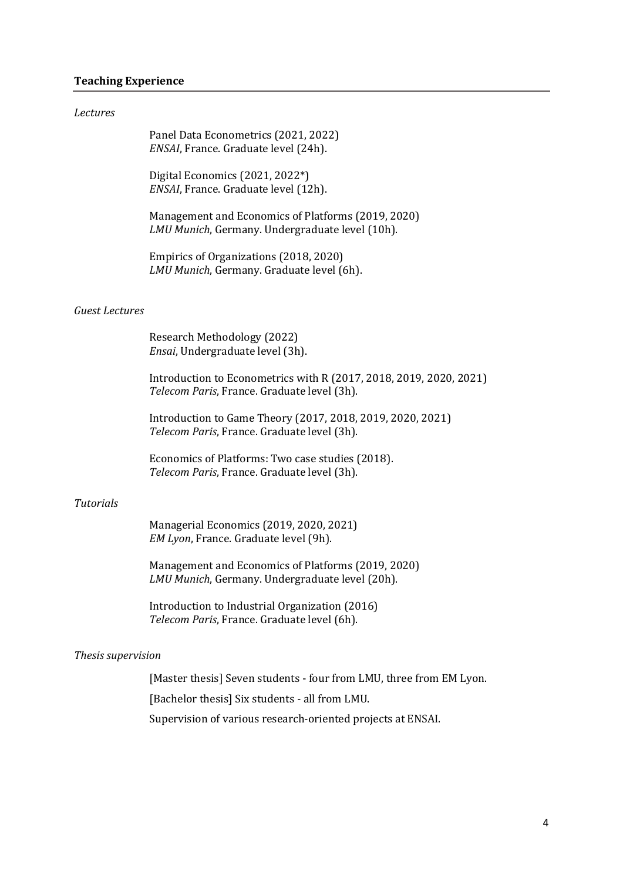# **Teaching Experience**

#### *Lectures*

|                       | Panel Data Econometrics (2021, 2022)<br>ENSAI, France. Graduate level (24h).                                      |
|-----------------------|-------------------------------------------------------------------------------------------------------------------|
|                       | Digital Economics (2021, 2022*)<br>ENSAI, France. Graduate level (12h).                                           |
|                       | Management and Economics of Platforms (2019, 2020)<br>LMU Munich, Germany. Undergraduate level (10h).             |
|                       | Empirics of Organizations (2018, 2020)<br>LMU Munich, Germany. Graduate level (6h).                               |
| <b>Guest Lectures</b> |                                                                                                                   |
|                       | Research Methodology (2022)<br>Ensai, Undergraduate level (3h).                                                   |
|                       | Introduction to Econometrics with R (2017, 2018, 2019, 2020, 2021)<br>Telecom Paris, France. Graduate level (3h). |
|                       | Introduction to Game Theory (2017, 2018, 2019, 2020, 2021)<br>Telecom Paris, France. Graduate level (3h).         |
|                       | Economics of Platforms: Two case studies (2018).<br>Telecom Paris, France. Graduate level (3h).                   |
| Tutorials             |                                                                                                                   |

#### *Tutorials*

Managerial Economics (2019, 2020, 2021) *EM Lyon*, France. Graduate level (9h).

Management and Economics of Platforms (2019, 2020) *LMU Munich*, Germany. Undergraduate level (20h).

Introduction to Industrial Organization (2016) *Telecom Paris*, France. Graduate level (6h).

#### *Thesis supervision*

[Master thesis] Seven students - four from LMU, three from EM Lyon.

[Bachelor thesis] Six students - all from LMU.

Supervision of various research-oriented projects at ENSAI.